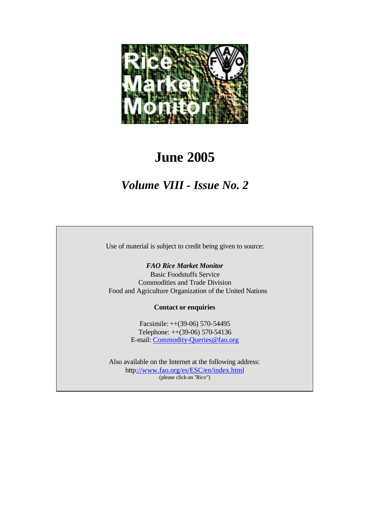

# **June 2005**

## *Volume VIII - Issue No. 2*

Use of material is subject to credit being given to source:

#### *FAO Rice Market Monitor*

Basic Foodstuffs Service Commodities and Trade Division Food and Agriculture Organization of the United Nations

#### **Contact or enquiries**

Facsimile: ++(39-06) 570-54495 Telephone: ++(39-06) 570-54136 E-mail: Commodity-Queries@fao.org

Also available on the Internet at the following address: http://www.fao.org/es/ESC/en/index.html (please click on "*Rice*")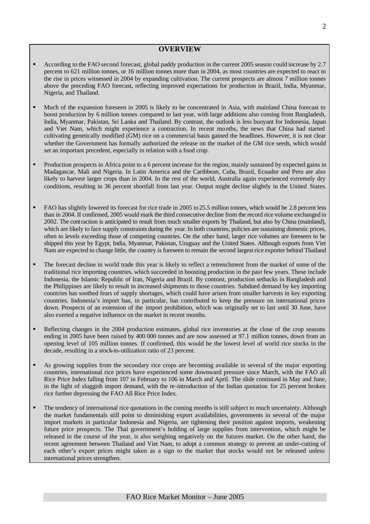#### **OVERVIEW**

- ß According to the FAO second forecast, global paddy production in the current 2005 season could increase by 2.7 percent to 621 million tonnes, or 16 million tonnes more than in 2004, as most countries are expected to react to the rise in prices witnessed in 2004 by expanding cultivation. The current prospects are almost 7 million tonnes above the preceding FAO forecast, reflecting improved expectations for production in Brazil, India, Myanmar, Nigeria, and Thailand.
- ß Much of the expansion foreseen in 2005 is likely to be concentrated in Asia, with mainland China forecast to boost production by 6 million tonnes compared to last year, with large additions also coming from Bangladesh, India, Myanmar, Pakistan, Sri Lanka and Thailand. By contrast, the outlook is less buoyant for Indonesia, Japan and Viet Nam, which might experience a contraction. In recent months, the news that China had started cultivating genetically modified (GM) rice on a commercial basis gained the headlines. However, it is not clear whether the Government has formally authorized the release on the market of the GM rice seeds, which would set an important precedent, especially in relation with a food crop.
- ß Production prospects in Africa point to a 6 percent increase for the region, mainly sustained by expected gains in Madagascar, Mali and Nigeria. In Latin America and the Caribbean, Cuba, Brazil, Ecuador and Peru are also likely to harvest larger crops than in 2004. In the rest of the world, Australia again experienced extremely dry conditions, resulting in 36 percent shortfall from last year. Output might decline slightly in the United States.
- ß FAO has slightly lowered its forecast for rice trade in 2005 to 25.5 million tonnes, which would be 2.8 percent less than in 2004. If confirmed, 2005 would mark the third consecutive decline from the record rice volume exchanged in 2002. The contraction is anticipated to result from much smaller exports by Thailand, but also by China (mainland), which are likely to face supply constraints during the year. In both countries, policies are sustaining domestic prices, often to levels exceeding those of competing countries. On the other hand, larger rice volumes are foreseen to be shipped this year by Egypt, India, Myanmar, Pakistan, Uruguay and the United States. Although exports from Viet Nam are expected to change little, the country is foreseen to remain the second largest rice exporter behind Thailand
- ß The forecast decline in world trade this year is likely to reflect a retrenchment from the market of some of the traditional rice importing countries, which succeeded in boosting production in the past few years. These include Indonesia, the Islamic Republic of Iran, Nigeria and Brazil. By contrast, production setbacks in Bangladesh and the Philippines are likely to result in increased shipments to those countries. Subdued demand by key importing countries has soothed fears of supply shortages, which could have arisen from smaller harvests in key exporting countries. Indonesia's import ban, in particular, has contributed to keep the pressure on international prices down. Prospects of an extension of the import prohibition, which was originally set to last until 30 June, have also exerted a negative influence on the market in recent months.
- ß Reflecting changes in the 2004 production estimates, global rice inventories at the close of the crop seasons ending in 2005 have been raised by 400 000 tonnes and are now assessed at 97.1 million tonnes, down from an opening level of 105 million tonnes. If confirmed, this would be the lowest level of world rice stocks in the decade, resulting in a stock-to-utilization ratio of 23 percent.
- ß As growing supplies from the secondary rice crops are becoming available in several of the major exporting countries, international rice prices have experienced some downward pressure since March, with the FAO all Rice Price Index falling from 107 in February to 106 in March and April. The slide continued in May and June, in the light of sluggish import demand, with the re-introduction of the Indian quotation for 25 percent broken rice further depressing the FAO All Rice Price Index.
- ß The tendency of international rice quotations in the coming months is still subject to much uncertainty. Although the market fundamentals still point to diminishing export availabilities, governments in several of the major import markets in particular Indonesia and Nigeria, are tightening their position against imports, weakening future price prospects. The Thai government's holding of large supplies from intervention, which might be released in the course of the year, is also weighing negatively on the futures market. On the other hand, the recent agreement between Thailand and Viet Nam, to adopt a common strategy to prevent an under-cutting of each other's export prices might taken as a sign to the market that stocks would not be released unless international prices strengthen.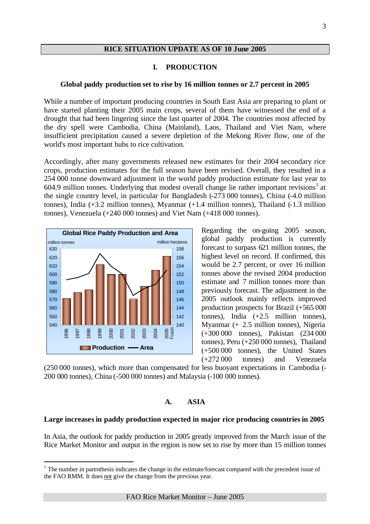#### **RICE SITUATION UPDATE AS OF 10 June 2005**

#### **I. PRODUCTION**

#### **Global paddy production set to rise by 16 million tonnes or 2.7 percent in 2005**

While a number of important producing countries in South East Asia are preparing to plant or have started planting their 2005 main crops, several of them have witnessed the end of a drought that had been lingering since the last quarter of 2004. The countries most affected by the dry spell were Cambodia, China (Mainland), Laos, Thailand and Viet Nam, where insufficient precipitation caused a severe depletion of the Mekong River flow, one of the world's most important hubs to rice cultivation.

Accordingly, after many governments released new estimates for their 2004 secondary rice crops, production estimates for the full season have been revised. Overall, they resulted in a 254 000 tonne downward adjustment in the world paddy production estimate for last year to  $604.9$  million tonnes. Underlying that modest overall change lie rather important revisions<sup>1</sup> at the single country level, in particular for Bangladesh (-273 000 tonnes), China (-4.0 million tonnes), India (+3.2 million tonnes), Myanmar (+1.4 million tonnes), Thailand (-1.3 million tonnes), Venezuela (+240 000 tonnes) and Viet Nam (+418 000 tonnes).



l

Regarding the on-going 2005 season, global paddy production is currently forecast to surpass 621 million tonnes, the highest level on record. If confirmed, this would be 2.7 percent, or over 16 million tonnes above the revised 2004 production estimate and 7 million tonnes more than previously forecast. The adjustment in the 2005 outlook mainly reflects improved production prospects for Brazil (+565 000 tonnes), India (+2.5 million tonnes), Myanmar (+ 2.5 million tonnes), Nigeria (+300 000 tonnes), Pakistan (234 000 tonnes), Peru (+250 000 tonnes), Thailand (+500 000 tonnes), the United States (+272 000 tonnes) and Venezuela

(250 000 tonnes), which more than compensated for less buoyant expectations in Cambodia (- 200 000 tonnes), China (-500 000 tonnes) and Malaysia (-100 000 tonnes).

#### **A. ASIA**

#### **Large increases in paddy production expected in major rice producing countries in 2005**

In Asia, the outlook for paddy production in 2005 greatly improved from the March issue of the Rice Market Monitor and output in the region is now set to rise by more than 15 million tonnes

 $<sup>1</sup>$  The number in parenthesis indicates the change in the estimate/forecast compared with the precedent issue of</sup> the FAO RMM. It does not give the change from the previous year.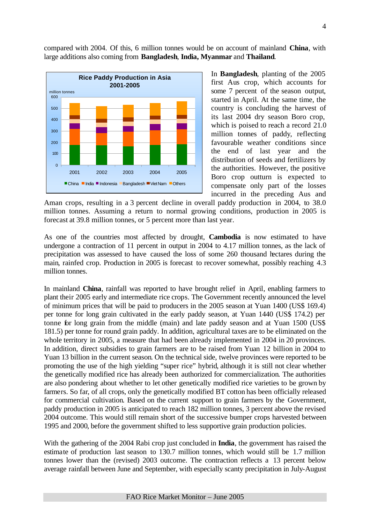compared with 2004. Of this, 6 million tonnes would be on account of mainland **China**, with large additions also coming from **Bangladesh**, **India, Myanmar** and **Thailand**.



In **Bangladesh**, planting of the 2005 first Aus crop, which accounts for some 7 percent of the season output, started in April. At the same time, the country is concluding the harvest of its last 2004 dry season Boro crop, which is poised to reach a record 21.0 million tonnes of paddy, reflecting favourable weather conditions since the end of last year and the distribution of seeds and fertilizers by the authorities. However, the positive Boro crop outturn is expected to compensate only part of the losses incurred in the preceding Aus and

Aman crops, resulting in a 3 percent decline in overall paddy production in 2004, to 38.0 million tonnes. Assuming a return to normal growing conditions, production in 2005 is forecast at 39.8 million tonnes, or 5 percent more than last year.

As one of the countries most affected by drought, **Cambodia** is now estimated to have undergone a contraction of 11 percent in output in 2004 to 4.17 million tonnes, as the lack of precipitation was assessed to have caused the loss of some 260 thousand hectares during the main, rainfed crop. Production in 2005 is forecast to recover somewhat, possibly reaching 4.3 million tonnes.

In mainland **China**, rainfall was reported to have brought relief in April, enabling farmers to plant their 2005 early and intermediate rice crops. The Government recently announced the level of minimum prices that will be paid to producers in the 2005 season at Yuan 1400 (US\$ 169.4) per tonne for long grain cultivated in the early paddy season, at Yuan 1440 (US\$ 174.2) per tonne for long grain from the middle (main) and late paddy season and at Yuan 1500 (US\$ 181.5) per tonne for round grain paddy. In addition, agricultural taxes are to be eliminated on the whole territory in 2005, a measure that had been already implemented in 2004 in 20 provinces. In addition, direct subsidies to grain farmers are to be raised from Yuan 12 billion in 2004 to Yuan 13 billion in the current season. On the technical side, twelve provinces were reported to be promoting the use of the high yielding "super rice" hybrid, although it is still not clear whether the genetically modified rice has already been authorized for commercialization. The authorities are also pondering about whether to let other genetically modified rice varieties to be grown by farmers. So far, of all crops, only the genetically modified BT cotton has been officially released for commercial cultivation. Based on the current support to grain farmers by the Government, paddy production in 2005 is anticipated to reach 182 million tonnes, 3 percent above the revised 2004 outcome. This would still remain short of the successive bumper crops harvested between 1995 and 2000, before the government shifted to less supportive grain production policies.

With the gathering of the 2004 Rabi crop just concluded in **India**, the government has raised the estimate of production last season to 130.7 million tonnes, which would still be 1.7 million tonnes lower than the (revised) 2003 outcome. The contraction reflects a 13 percent below average rainfall between June and September, with especially scanty precipitation in July-August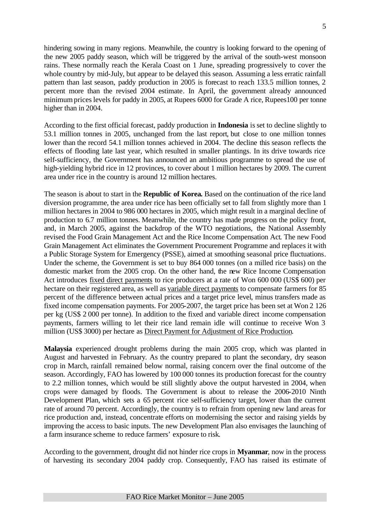hindering sowing in many regions. Meanwhile, the country is looking forward to the opening of the new 2005 paddy season, which will be triggered by the arrival of the south-west monsoon rains. These normally reach the Kerala Coast on 1 June, spreading progressively to cover the whole country by mid-July, but appear to be delayed this season. Assuming a less erratic rainfall pattern than last season, paddy production in 2005 is forecast to reach 133.5 million tonnes, 2 percent more than the revised 2004 estimate. In April, the government already announced minimum prices levels for paddy in 2005, at Rupees 6000 for Grade A rice, Rupees100 per tonne higher than in 2004.

According to the first official forecast, paddy production in **Indonesia** is set to decline slightly to 53.1 million tonnes in 2005, unchanged from the last report, but close to one million tonnes lower than the record 54.1 million tonnes achieved in 2004. The decline this season reflects the effects of flooding late last year, which resulted in smaller plantings. In its drive towards rice self-sufficiency, the Government has announced an ambitious programme to spread the use of high-yielding hybrid rice in 12 provinces, to cover about 1 million hectares by 2009. The current area under rice in the country is around 12 million hectares.

The season is about to start in the **Republic of Korea.** Based on the continuation of the rice land diversion programme, the area under rice has been officially set to fall from slightly more than 1 million hectares in 2004 to 986 000 hectares in 2005, which might result in a marginal decline of production to 6.7 million tonnes. Meanwhile, the country has made progress on the policy front, and, in March 2005, against the backdrop of the WTO negotiations, the National Assembly revised the Food Grain Management Act and the Rice Income Compensation Act. The new Food Grain Management Act eliminates the Government Procurement Programme and replaces it with a Public Storage System for Emergency (PSSE), aimed at smoothing seasonal price fluctuations. Under the scheme, the Government is set to buy 864 000 tonnes (on a milled rice basis) on the domestic market from the 2005 crop. On the other hand, the new Rice Income Compensation Act introduces fixed direct payments to rice producers at a rate of Won 600 000 (US\$ 600) per hectare on their registered area, as well as variable direct payments to compensate farmers for 85 percent of the difference between actual prices and a target price level, minus transfers made as fixed income compensation payments. For 2005-2007, the target price has been set at Won 2 126 per kg (US\$ 2 000 per tonne). In addition to the fixed and variable direct income compensation payments, farmers willing to let their rice land remain idle will continue to receive Won 3 million (US\$ 3000) per hectare as Direct Payment for Adjustment of Rice Production.

**Malaysia** experienced drought problems during the main 2005 crop, which was planted in August and harvested in February. As the country prepared to plant the secondary, dry season crop in March, rainfall remained below normal, raising concern over the final outcome of the season. Accordingly, FAO has lowered by 100 000 tonnes its production forecast for the country to 2.2 million tonnes, which would be still slightly above the output harvested in 2004, when crops were damaged by floods. The Government is about to release the 2006-2010 Ninth Development Plan, which sets a 65 percent rice self-sufficiency target, lower than the current rate of around 70 percent. Accordingly, the country is to refrain from opening new land areas for rice production and, instead, concentrate efforts on modernising the sector and raising yields by improving the access to basic inputs. The new Development Plan also envisages the launching of a farm insurance scheme to reduce farmers' exposure to risk.

According to the government, drought did not hinder rice crops in **Myanmar**, now in the process of harvesting its secondary 2004 paddy crop. Consequently, FAO has raised its estimate of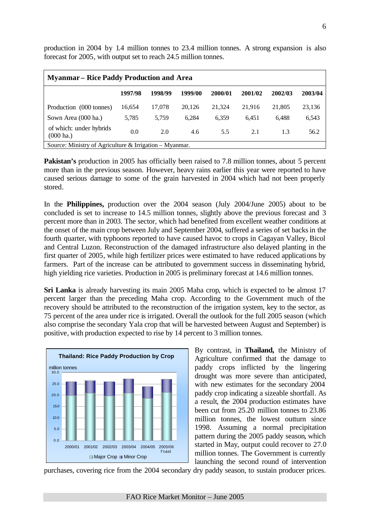| <b>Myanmar</b> – Rice Paddy Production and Area                                                  |         |         |         |         |         |         |         |  |  |  |  |
|--------------------------------------------------------------------------------------------------|---------|---------|---------|---------|---------|---------|---------|--|--|--|--|
|                                                                                                  | 1997/98 | 1998/99 | 1999/00 | 2000/01 | 2001/02 | 2002/03 | 2003/04 |  |  |  |  |
| Production (000 tonnes)                                                                          | 16.654  | 17,078  | 20,126  | 21,324  | 21,916  | 21,805  | 23,136  |  |  |  |  |
| Sown Area (000 ha.)                                                                              | 5,785   | 5,759   | 6.284   | 6.359   | 6.451   | 6.488   | 6,543   |  |  |  |  |
| of which: under hybrids<br>0.0<br>2.0<br>2.1<br>56.2<br>4.6<br>1.3<br>5.5<br>$(000 \text{ ha.})$ |         |         |         |         |         |         |         |  |  |  |  |
| Source: Ministry of Agriculture & Irrigation – Myanmar.                                          |         |         |         |         |         |         |         |  |  |  |  |

production in 2004 by 1.4 million tonnes to 23.4 million tonnes. A strong expansion is also forecast for 2005, with output set to reach 24.5 million tonnes.

**Pakistan's** production in 2005 has officially been raised to 7.8 million tonnes, about 5 percent more than in the previous season. However, heavy rains earlier this year were reported to have caused serious damage to some of the grain harvested in 2004 which had not been properly stored.

In the **Philippines,** production over the 2004 season (July 2004/June 2005) about to be concluded is set to increase to 14.5 million tonnes, slightly above the previous forecast and 3 percent more than in 2003. The sector, which had benefited from excellent weather conditions at the onset of the main crop between July and September 2004, suffered a series of set backs in the fourth quarter, with typhoons reported to have caused havoc to crops in Cagayan Valley, Bicol and Central Luzon. Reconstruction of the damaged infrastructure also delayed planting in the first quarter of 2005, while high fertilizer prices were estimated to have reduced applications by farmers. Part of the increase can be attributed to government success in disseminating hybrid, high yielding rice varieties. Production in 2005 is preliminary forecast at 14.6 million tonnes.

**Sri Lanka** is already harvesting its main 2005 Maha crop, which is expected to be almost 17 percent larger than the preceding Maha crop. According to the Government much of the recovery should be attributed to the reconstruction of the irrigation system, key to the sector, as 75 percent of the area under rice is irrigated. Overall the outlook for the full 2005 season (which also comprise the secondary Yala crop that will be harvested between August and September) is positive, with production expected to rise by 14 percent to 3 million tonnes.



0.0 0.0

5.0 10.0 15.0 20.0 20.0 25.0 25.0 30.0 30.0

15.0<br>10.0<br>5.0

By contrast, in **Thailand,** the Ministry of Agriculture confirmed that the damage to paddy crops inflicted by the lingering drought was more severe than anticipated, with new estimates for the secondary 2004 paddy crop indicating a sizeable shortfall. As a result, the 2004 production estimates have been cut from 25.20 million tonnes to 23.86 million tonnes, the lowest outturn since 1998. Assuming a normal precipitation pattern during the 2005 paddy season, which started in May, output could recover to 27.0 million tonnes. The Government is currently launching the second round of intervention

purchases, covering rice from the 2004 secondary dry paddy season, to sustain producer prices.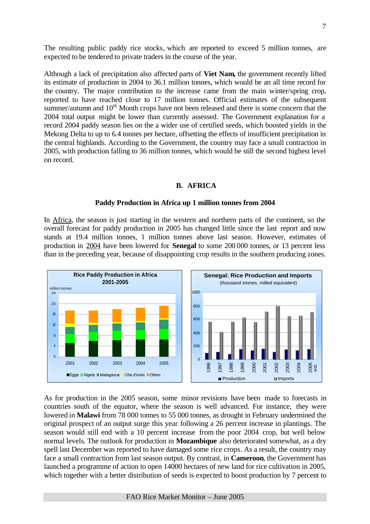The resulting public paddy rice stocks, which are reported to exceed 5 million tonnes, are expected to be tendered to private traders in the course of the year.

Although a lack of precipitation also affected parts of **Viet Nam,** the government recently lifted its estimate of production in 2004 to 36.1 million tonnes, which would be an all time record for the country. The major contribution to the increase came from the main winter/spring crop, reported to have reached close to 17 million tonnes. Official estimates of the subsequent summer/autumn and 10<sup>th</sup> Month crops have not been released and there is some concern that the 2004 total output might be lower than currently assessed. The Government explanation for a record 2004 paddy season lies on the a wider use of certified seeds, which boosted yields in the Mekong Delta to up to 6.4 tonnes per hectare, offsetting the effects of insufficient precipitation in the central highlands. According to the Government, the country may face a small contraction in 2005, with production falling to 36 million tonnes, which would be still the second highest level on record.

#### **B. AFRICA**

#### **Paddy Production in Africa up 1 million tonnes from 2004**

In Africa, the season is just starting in the western and northern parts of the continent, so the overall forecast for paddy production in 2005 has changed little since the last report and now stands at 19.4 million tonnes, 1 million tonnes above last season. However, estimates of production in 2004 have been lowered for **Senegal** to some 200 000 tonnes, or 13 percent less than in the preceding year, because of disappointing crop results in the southern producing zones.



As for production in the 2005 season, some minor revisions have been made to forecasts in countries south of the equator, where the season is well advanced. For instance, they were lowered in **Malawi** from 78 000 tonnes to 55 000 tonnes, as drought in February undermined the original prospect of an output surge this year following a 26 percent increase in plantings. The season would still end with a 10 percent increase from the poor 2004 crop, but well below normal levels. The outlook for production in **Mozambique** also deteriorated somewhat, as a dry spell last December was reported to have damaged some rice crops. As a result, the country may face a small contraction from last season output. By contrast, in **Cameroon**, the Government has launched a programme of action to open 14000 hectares of new land for rice cultivation in 2005, which together with a better distribution of seeds is expected to boost production by 7 percent to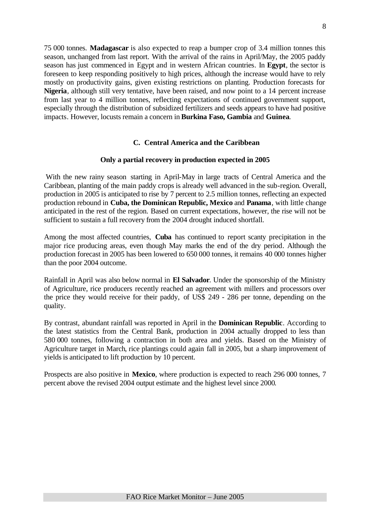75 000 tonnes. **Madagascar** is also expected to reap a bumper crop of 3.4 million tonnes this season, unchanged from last report. With the arrival of the rains in April/May, the 2005 paddy season has just commenced in Egypt and in western African countries. In **Egypt**, the sector is foreseen to keep responding positively to high prices, although the increase would have to rely mostly on productivity gains, given existing restrictions on planting. Production forecasts for **Nigeria**, although still very tentative, have been raised, and now point to a 14 percent increase from last year to 4 million tonnes, reflecting expectations of continued government support, especially through the distribution of subsidized fertilizers and seeds appears to have had positive impacts. However, locusts remain a concern in **Burkina Faso, Gambia** and **Guinea**.

#### **C. Central America and the Caribbean**

#### **Only a partial recovery in production expected in 2005**

With the new rainy season starting in April-May in large tracts of Central America and the Caribbean, planting of the main paddy crops is already well advanced in the sub-region. Overall, production in 2005 is anticipated to rise by 7 percent to 2.5 million tonnes, reflecting an expected production rebound in **Cuba, the Dominican Republic, Mexico** and **Panama**, with little change anticipated in the rest of the region. Based on current expectations, however, the rise will not be sufficient to sustain a full recovery from the 2004 drought induced shortfall.

Among the most affected countries, **Cuba** has continued to report scanty precipitation in the major rice producing areas, even though May marks the end of the dry period. Although the production forecast in 2005 has been lowered to 650 000 tonnes, it remains 40 000 tonnes higher than the poor 2004 outcome.

Rainfall in April was also below normal in **El Salvador**. Under the sponsorship of the Ministry of Agriculture, rice producers recently reached an agreement with millers and processors over the price they would receive for their paddy, of US\$ 249 - 286 per tonne, depending on the quality.

By contrast, abundant rainfall was reported in April in the **Dominican Republic**. According to the latest statistics from the Central Bank, production in 2004 actually dropped to less than 580 000 tonnes, following a contraction in both area and yields. Based on the Ministry of Agriculture target in March, rice plantings could again fall in 2005, but a sharp improvement of yields is anticipated to lift production by 10 percent.

Prospects are also positive in **Mexico**, where production is expected to reach 296 000 tonnes, 7 percent above the revised 2004 output estimate and the highest level since 2000.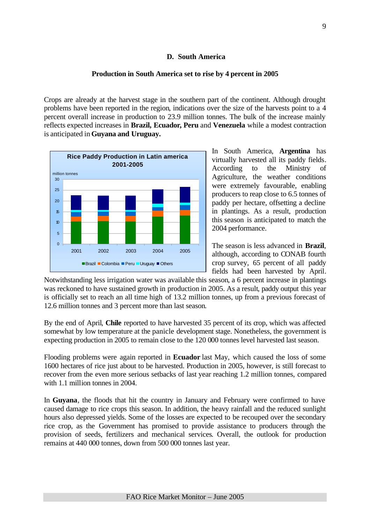#### **D. South America**

#### **Production in South America set to rise by 4 percent in 2005**

Crops are already at the harvest stage in the southern part of the continent. Although drought problems have been reported in the region, indications over the size of the harvests point to a 4 percent overall increase in production to 23.9 million tonnes. The bulk of the increase mainly reflects expected increases in **Brazil, Ecuador, Peru** and **Venezuela** while a modest contraction is anticipated in **Guyana and Uruguay.**



In South America, **Argentina** has virtually harvested all its paddy fields. According to the Ministry of Agriculture, the weather conditions were extremely favourable, enabling producers to reap close to 6.5 tonnes of paddy per hectare, offsetting a decline in plantings. As a result, production this season is anticipated to match the 2004 performance.

The season is less advanced in **Brazil**, although, according to CONAB fourth crop survey, 65 percent of all paddy fields had been harvested by April.

Notwithstanding less irrigation water was available this season, a 6 percent increase in plantings was reckoned to have sustained growth in production in 2005. As a result, paddy output this year is officially set to reach an all time high of 13.2 million tonnes, up from a previous forecast of 12.6 million tonnes and 3 percent more than last season.

By the end of April, **Chile** reported to have harvested 35 percent of its crop, which was affected somewhat by low temperature at the panicle development stage. Nonetheless, the government is expecting production in 2005 to remain close to the 120 000 tonnes level harvested last season.

Flooding problems were again reported in **Ecuador** last May, which caused the loss of some 1600 hectares of rice just about to be harvested. Production in 2005, however, is still forecast to recover from the even more serious setbacks of last year reaching 1.2 million tonnes, compared with 1.1 million tonnes in 2004.

In **Guyana**, the floods that hit the country in January and February were confirmed to have caused damage to rice crops this season. In addition, the heavy rainfall and the reduced sunlight hours also depressed yields. Some of the losses are expected to be recouped over the secondary rice crop, as the Government has promised to provide assistance to producers through the provision of seeds, fertilizers and mechanical services. Overall, the outlook for production remains at 440 000 tonnes, down from 500 000 tonnes last year.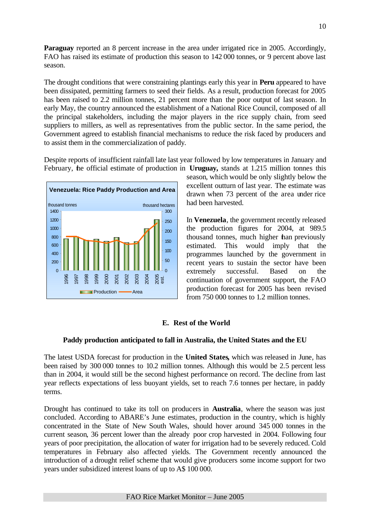**Paraguay** reported an 8 percent increase in the area under irrigated rice in 2005. Accordingly, FAO has raised its estimate of production this season to 142 000 tonnes, or 9 percent above last season.

The drought conditions that were constraining plantings early this year in **Peru** appeared to have been dissipated, permitting farmers to seed their fields. As a result, production forecast for 2005 has been raised to 2.2 million tonnes, 21 percent more than the poor output of last season. In early May, the country announced the establishment of a National Rice Council, composed of all the principal stakeholders, including the major players in the rice supply chain, from seed suppliers to millers, as well as representatives from the public sector. In the same period, the Government agreed to establish financial mechanisms to reduce the risk faced by producers and to assist them in the commercialization of paddy.

Despite reports of insufficient rainfall late last year followed by low temperatures in January and February, the official estimate of production in **Uruguay,** stands at 1.215 million tonnes this



season, which would be only slightly below the excellent outturn of last year. The estimate was drawn when 73 percent of the area under rice had been harvested.

In **Venezuela**, the government recently released the production figures for 2004, at 989.5 thousand tonnes, much higher than previously estimated. This would imply that the programmes launched by the government in recent years to sustain the sector have been extremely successful. Based on the continuation of government support, the FAO production forecast for 2005 has been revised from 750 000 tonnes to 1.2 million tonnes.

### **E. Rest of the World**

#### **Paddy production anticipated to fall in Australia, the United States and the EU**

The latest USDA forecast for production in the **United States,** which was released in June, has been raised by 300 000 tonnes to 10.2 million tonnes. Although this would be 2.5 percent less than in 2004, it would still be the second highest performance on record. The decline from last year reflects expectations of less buoyant yields, set to reach 7.6 tonnes per hectare, in paddy terms.

Drought has continued to take its toll on producers in **Australia**, where the season was just concluded. According to ABARE's June estimates, production in the country, which is highly concentrated in the State of New South Wales, should hover around 345 000 tonnes in the current season, 36 percent lower than the already poor crop harvested in 2004. Following four years of poor precipitation, the allocation of water for irrigation had to be severely reduced. Cold temperatures in February also affected yields. The Government recently announced the introduction of a drought relief scheme that would give producers some income support for two years under subsidized interest loans of up to A\$ 100 000.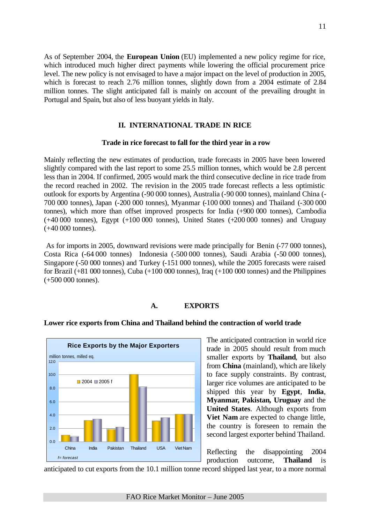As of September 2004, the **European Union** (EU) implemented a new policy regime for rice, which introduced much higher direct payments while lowering the official procurement price level. The new policy is not envisaged to have a major impact on the level of production in 2005, which is forecast to reach 2.76 million tonnes, slightly down from a 2004 estimate of 2.84 million tonnes. The slight anticipated fall is mainly on account of the prevailing drought in Portugal and Spain, but also of less buoyant yields in Italy.

#### **II. INTERNATIONAL TRADE IN RICE**

#### **Trade in rice forecast to fall for the third year in a row**

Mainly reflecting the new estimates of production, trade forecasts in 2005 have been lowered slightly compared with the last report to some 25.5 million tonnes, which would be 2.8 percent less than in 2004. If confirmed, 2005 would mark the third consecutive decline in rice trade from the record reached in 2002. The revision in the 2005 trade forecast reflects a less optimistic outlook for exports by Argentina (-90 000 tonnes), Australia (-90 000 tonnes), mainland China (- 700 000 tonnes), Japan (-200 000 tonnes), Myanmar (-100 000 tonnes) and Thailand (-300 000 tonnes), which more than offset improved prospects for India (+900 000 tonnes), Cambodia  $(+40,000)$  tonnes), Egypt  $(+100,000)$  tonnes), United States  $(+200,000)$  tonnes) and Uruguay (+40 000 tonnes).

 As for imports in 2005, downward revisions were made principally for Benin (-77 000 tonnes), Costa Rica (-64 000 tonnes) Indonesia (-500 000 tonnes), Saudi Arabia (-50 000 tonnes), Singapore (-50 000 tonnes) and Turkey (-151 000 tonnes), while the 2005 forecasts were raised for Brazil  $(+81,000)$  tonnes), Cuba  $(+100,000)$  tonnes), Iraq  $(+100,000)$  tonnes) and the Philippines (+500 000 tonnes).

#### **A. EXPORTS**



#### **Lower rice exports from China and Thailand behind the contraction of world trade**

The anticipated contraction in world rice trade in 2005 should result from much smaller exports by **Thailand**, but also from **China** (mainland), which are likely to face supply constraints. By contrast, larger rice volumes are anticipated to be shipped this year by **Egypt**, **India**, **Myanmar, Pakistan, Uruguay** and the **United States**. Although exports from **Viet Nam** are expected to change little, the country is foreseen to remain the second largest exporter behind Thailand.

Reflecting the disappointing 2004 production outcome, **Thailand** is

anticipated to cut exports from the 10.1 million tonne record shipped last year, to a more normal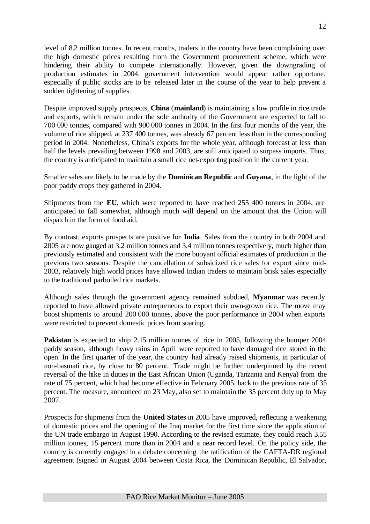level of 8.2 million tonnes. In recent months, traders in the country have been complaining over the high domestic prices resulting from the Government procurement scheme, which were hindering their ability to compete internationally. However, given the downgrading of production estimates in 2004, government intervention would appear rather opportune, especially if public stocks are to be released later in the course of the year to help prevent a sudden tightening of supplies.

Despite improved supply prospects, **China** (**mainland**) is maintaining a low profile in rice trade and exports, which remain under the sole authority of the Government are expected to fall to 700 000 tonnes, compared with 900 000 tonnes in 2004. In the first four months of the year, the volume of rice shipped, at 237 400 tonnes, was already 67 percent less than in the corresponding period in 2004. Nonetheless, China's exports for the whole year, although forecast at less than half the levels prevailing between 1998 and 2003, are still anticipated to surpass imports. Thus, the country is anticipated to maintain a small rice net-exporting position in the current year.

Smaller sales are likely to be made by the **Dominican Republic** and **Guyana**, in the light of the poor paddy crops they gathered in 2004.

Shipments from the **EU**, which were reported to have reached 255 400 tonnes in 2004, are anticipated to fall somewhat, although much will depend on the amount that the Union will dispatch in the form of food aid.

By contrast, exports prospects are positive for **India**. Sales from the country in both 2004 and 2005 are now gauged at 3.2 million tonnes and 3.4 million tonnes respectively, much higher than previously estimated and consistent with the more buoyant official estimates of production in the previous two seasons. Despite the cancellation of subsidized rice sales for export since mid-2003, relatively high world prices have allowed Indian traders to maintain brisk sales especially to the traditional parboiled rice markets.

Although sales through the government agency remained subdued, **Myanmar** was recently reported to have allowed private entrepreneurs to export their own-grown rice. The move may boost shipments to around 200 000 tonnes, above the poor performance in 2004 when exports were restricted to prevent domestic prices from soaring.

**Pakistan** is expected to ship 2.15 million tonnes of rice in 2005, following the bumper 2004 paddy season, although heavy rains in April were reported to have damaged rice stored in the open. In the first quarter of the year, the country had already raised shipments, in particular of non-basmati rice, by close to 80 percent. Trade might be further underpinned by the recent reversal of the hike in duties in the East African Union (Uganda, Tanzania and Kenya) from the rate of 75 percent, which had become effective in February 2005, back to the previous rate of 35 percent. The measure, announced on 23 May, also set to maintain the 35 percent duty up to May 2007.

Prospects for shipments from the **United States** in 2005 have improved, reflecting a weakening of domestic prices and the opening of the Iraq market for the first time since the application of the UN trade embargo in August 1990. According to the revised estimate, they could reach 3.55 million tonnes, 15 percent more than in 2004 and a near record level. On the policy side, the country is currently engaged in a debate concerning the ratification of the CAFTA-DR regional agreement (signed in August 2004 between Costa Rica, the Dominican Republic, El Salvador,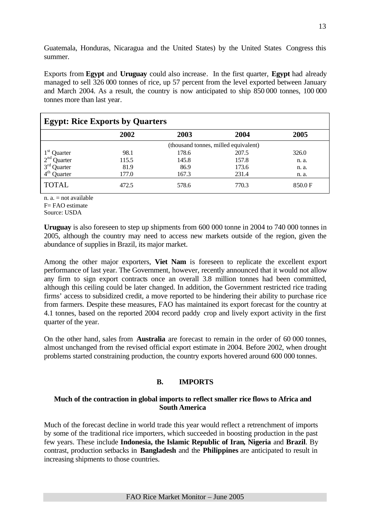Guatemala, Honduras, Nicaragua and the United States) by the United States Congress this summer.

Exports from **Egypt** and **Uruguay** could also increase. In the first quarter, **Egypt** had already managed to sell 326 000 tonnes of rice, up 57 percent from the level exported between January and March 2004. As a result, the country is now anticipated to ship 850 000 tonnes, 100 000 tonnes more than last year.

| <b>Egypt: Rice Exports by Quarters</b> |       |       |                                      |        |  |  |  |  |  |
|----------------------------------------|-------|-------|--------------------------------------|--------|--|--|--|--|--|
|                                        | 2002  | 2003  | 2004                                 | 2005   |  |  |  |  |  |
|                                        |       |       | (thousand tonnes, milled equivalent) |        |  |  |  |  |  |
| Quarter                                | 98.1  | 178.6 | 207.5                                | 326.0  |  |  |  |  |  |
| $2nd$ Quarter                          | 115.5 | 145.8 | 157.8                                | n. a.  |  |  |  |  |  |
| $3rd$ Quarter                          | 81.9  | 86.9  | 173.6                                | n. a.  |  |  |  |  |  |
| $4th$ Quarter                          | 177.0 | 167.3 | 231.4                                | n. a.  |  |  |  |  |  |
| <b>TOTAL</b>                           | 472.5 | 578.6 | 770.3                                | 850.0F |  |  |  |  |  |

n.  $a = not available$ 

F= FAO estimate

Source: USDA

**Uruguay** is also foreseen to step up shipments from 600 000 tonne in 2004 to 740 000 tonnes in 2005, although the country may need to access new markets outside of the region, given the abundance of supplies in Brazil, its major market.

Among the other major exporters, **Viet Nam** is foreseen to replicate the excellent export performance of last year. The Government, however, recently announced that it would not allow any firm to sign export contracts once an overall 3.8 million tonnes had been committed, although this ceiling could be later changed. In addition, the Government restricted rice trading firms' access to subsidized credit, a move reported to be hindering their ability to purchase rice from farmers. Despite these measures, FAO has maintained its export forecast for the country at 4.1 tonnes, based on the reported 2004 record paddy crop and lively export activity in the first quarter of the year.

On the other hand, sales from **Australia** are forecast to remain in the order of 60 000 tonnes, almost unchanged from the revised official export estimate in 2004. Before 2002, when drought problems started constraining production, the country exports hovered around 600 000 tonnes.

### **B. IMPORTS**

#### **Much of the contraction in global imports to reflect smaller rice flows to Africa and South America**

Much of the forecast decline in world trade this year would reflect a retrenchment of imports by some of the traditional rice importers, which succeeded in boosting production in the past few years. These include **Indonesia, the Islamic Republic of Iran, Nigeria** and **Brazil**. By contrast, production setbacks in **Bangladesh** and the **Philippines** are anticipated to result in increasing shipments to those countries.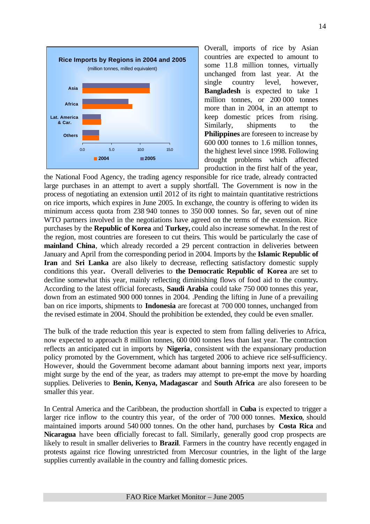

Overall, imports of rice by Asian countries are expected to amount to some 11.8 million tonnes, virtually unchanged from last year. At the single country level, however, **Bangladesh** is expected to take 1 million tonnes, or 200 000 tonnes more than in 2004, in an attempt to keep domestic prices from rising. Similarly, shipments to the **Philippines** are foreseen to increase by 600 000 tonnes to 1.6 million tonnes, the highest level since 1998. Following drought problems which affected production in the first half of the year,

the National Food Agency, the trading agency responsible for rice trade, already contracted large purchases in an attempt to avert a supply shortfall. The Government is now in the process of negotiating an extension until 2012 of its right to maintain quantitative restrictions on rice imports, which expires in June 2005. In exchange, the country is offering to widen its minimum access quota from 238 940 tonnes to 350 000 tonnes. So far, seven out of nine WTO partners involved in the negotiations have agreed on the terms of the extension. Rice purchases by the **Republic of Korea** and **Turkey,** could also increase somewhat. In the rest of the region, most countries are foreseen to cut theirs. This would be particularly the case of **mainland China**, which already recorded a 29 percent contraction in deliveries between January and April from the corresponding period in 2004. Imports by the **Islamic Republic of Iran** and **Sri Lanka** are also likely to decrease, reflecting satisfactory domestic supply conditions this year**.** Overall deliveries to **the Democratic Republic of Korea** are set to decline somewhat this year, mainly reflecting diminishing flows of food aid to the country**.** According to the latest official forecasts, **Saudi Arabia** could take 750 000 tonnes this year, down from an estimated 900 000 tonnes in 2004. .Pending the lifting in June of a prevailing ban on rice imports, shipments to **Indonesia** are forecast at 700 000 tonnes, unchanged from the revised estimate in 2004. Should the prohibition be extended, they could be even smaller.

The bulk of the trade reduction this year is expected to stem from falling deliveries to Africa, now expected to approach 8 million tonnes, 600 000 tonnes less than last year. The contraction reflects an anticipated cut in imports by **Nigeria**, consistent with the expansionary production policy promoted by the Government, which has targeted 2006 to achieve rice self-sufficiency. However, should the Government become adamant about banning imports next year, imports might surge by the end of the year, as traders may attempt to pre-empt the move by hoarding supplies. Deliveries to **Benin, Kenya, Madagascar** and **South Africa** are also foreseen to be smaller this year.

In Central America and the Caribbean, the production shortfall in **Cuba** is expected to trigger a larger rice inflow to the country this year, of the order of 700 000 tonnes. **Mexico**, should maintained imports around 540 000 tonnes. On the other hand, purchases by **Costa Rica** and **Nicaragua** have been officially forecast to fall. Similarly, generally good crop prospects are likely to result in smaller deliveries to **Brazil**. Farmers in the country have recently engaged in protests against rice flowing unrestricted from Mercosur countries, in the light of the large supplies currently available in the country and falling domestic prices.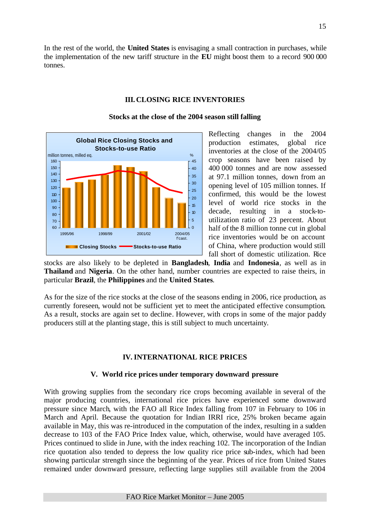In the rest of the world, the **United States** is envisaging a small contraction in purchases, while the implementation of the new tariff structure in the **EU** might boost them to a record 900 000 tonnes.

#### **III. CLOSING RICE INVENTORIES**



#### **Stocks at the close of the 2004 season still falling**

Reflecting changes in the 2004 production estimates, global rice inventories at the close of the 2004/05 crop seasons have been raised by 400 000 tonnes and are now assessed at 97.1 million tonnes, down from an opening level of 105 million tonnes. If confirmed, this would be the lowest level of world rice stocks in the decade, resulting in a stock-toutilization ratio of 23 percent. About half of the 8 million tonne cut in global rice inventories would be on account of China, where production would still fall short of domestic utilization. Rice

stocks are also likely to be depleted in **Bangladesh**, **India** and **Indonesia**, as well as in **Thailand** and **Nigeria**. On the other hand, number countries are expected to raise theirs, in particular **Brazil**, the **Philippines** and the **United States**.

As for the size of the rice stocks at the close of the seasons ending in 2006, rice production, as currently foreseen, would not be sufficient yet to meet the anticipated effective consumption. As a result, stocks are again set to decline. However, with crops in some of the major paddy producers still at the planting stage, this is still subject to much uncertainty.

#### **IV. INTERNATIONAL RICE PRICES**

#### **V. World rice prices under temporary downward pressure**

With growing supplies from the secondary rice crops becoming available in several of the major producing countries, international rice prices have experienced some downward pressure since March, with the FAO all Rice Index falling from 107 in February to 106 in March and April. Because the quotation for Indian IRRI rice, 25% broken became again available in May, this was re-introduced in the computation of the index, resulting in a sudden decrease to 103 of the FAO Price Index value, which, otherwise, would have averaged 105. Prices continued to slide in June, with the index reaching 102. The incorporation of the Indian rice quotation also tended to depress the low quality rice price sub-index, which had been showing particular strength since the beginning of the year. Prices of rice from United States remained under downward pressure, reflecting large supplies still available from the 2004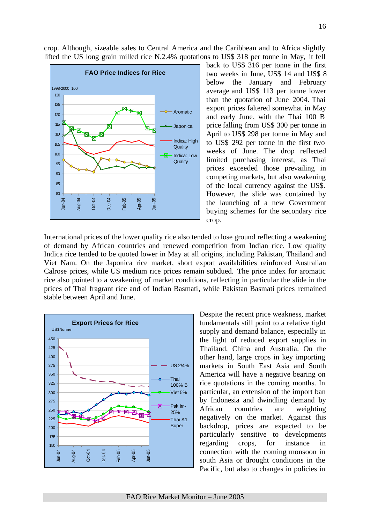crop. Although, sizeable sales to Central America and the Caribbean and to Africa slightly lifted the US long grain milled rice N.2.4% quotations to US\$ 318 per tonne in May, it fell



back to US\$ 316 per tonne in the first two weeks in June, US\$ 14 and US\$ 8 below the January and February average and US\$ 113 per tonne lower than the quotation of June 2004. Thai export prices faltered somewhat in May and early June, with the Thai 100 B price falling from US\$ 300 per tonne in April to US\$ 298 per tonne in May and to US\$ 292 per tonne in the first two weeks of June. The drop reflected limited purchasing interest, as Thai prices exceeded those prevailing in competing markets, but also weakening of the local currency against the US\$. However, the slide was contained by the launching of a new Government buying schemes for the secondary rice crop.

International prices of the lower quality rice also tended to lose ground reflecting a weakening of demand by African countries and renewed competition from Indian rice. Low quality Indica rice tended to be quoted lower in May at all origins, including Pakistan, Thailand and Viet Nam. On the Japonica rice market, short export availabilities reinforced Australian Calrose prices, while US medium rice prices remain subdued. The price index for aromatic rice also pointed to a weakening of market conditions, reflecting in particular the slide in the prices of Thai fragrant rice and of Indian Basmati, while Pakistan Basmati prices remained stable between April and June.



Despite the recent price weakness, market fundamentals still point to a relative tight supply and demand balance, especially in the light of reduced export supplies in Thailand, China and Australia. On the other hand, large crops in key importing markets in South East Asia and South America will have a negative bearing on rice quotations in the coming months. In particular, an extension of the import ban by Indonesia and dwindling demand by African countries are weighting negatively on the market. Against this backdrop, prices are expected to be particularly sensitive to developments regarding crops, for instance in connection with the coming monsoon in south Asia or drought conditions in the Pacific, but also to changes in policies in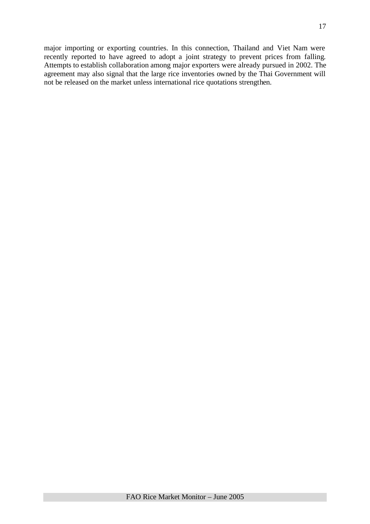major importing or exporting countries. In this connection, Thailand and Viet Nam were recently reported to have agreed to adopt a joint strategy to prevent prices from falling. Attempts to establish collaboration among major exporters were already pursued in 2002. The agreement may also signal that the large rice inventories owned by the Thai Government will not be released on the market unless international rice quotations strengthen.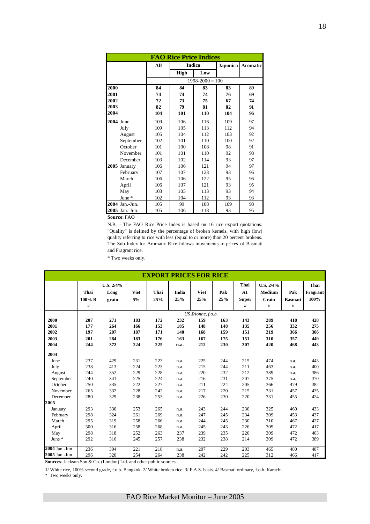|           | <b>FAO Rice Price Indices</b> |     |      |                     |          |                 |  |  |  |  |
|-----------|-------------------------------|-----|------|---------------------|----------|-----------------|--|--|--|--|
|           |                               | All |      | <b>Indica</b>       | Japonica | <b>Aromatic</b> |  |  |  |  |
|           |                               |     | High | Low                 |          |                 |  |  |  |  |
|           |                               |     |      | $1998 - 2000 = 100$ |          |                 |  |  |  |  |
| 2000      |                               | 84  | 84   | 83                  | 83       | 89              |  |  |  |  |
| 2001      |                               | 74  | 74   | 74                  | 76       | 69              |  |  |  |  |
| 2002      |                               | 72  | 73   | 75                  | 67       | 74              |  |  |  |  |
| 2003      |                               | 82  | 79   | 81                  | 82       | 91              |  |  |  |  |
| 2004      |                               | 104 | 101  | 110                 | 104      | 96              |  |  |  |  |
| 2004 June |                               | 109 | 106  | 116                 | 109      | 97              |  |  |  |  |
|           | July                          | 109 | 105  | 113                 | 112      | 94              |  |  |  |  |
|           | August                        | 105 | 104  | 112                 | 103      | 92              |  |  |  |  |
|           | September                     | 102 | 101  | 110                 | 100      | 92              |  |  |  |  |
|           | October                       | 101 | 100  | 108                 | 98       | 91              |  |  |  |  |
|           | November                      | 101 | 101  | 110                 | 92       | 98              |  |  |  |  |
|           | December                      | 103 | 102  | 114                 | 93       | 97              |  |  |  |  |
| 2005      | January                       | 106 | 106  | 121                 | 94       | 97              |  |  |  |  |
|           | February                      | 107 | 107  | 123                 | 93       | 96              |  |  |  |  |
|           | March                         | 106 | 106  | 122                 | 95       | 96              |  |  |  |  |
|           | April                         | 106 | 107  | 121                 | 93       | 95              |  |  |  |  |
|           | May                           | 103 | 105  | 113                 | 93       | 94              |  |  |  |  |
|           | June $*$                      | 102 | 104  | 112                 | 93       | 93              |  |  |  |  |
|           | 2004 Jan.-Jun.                | 105 | 99   | 108                 | 109      | 98              |  |  |  |  |
|           | 2005 Jan.-Jun.                | 105 | 106  | 118                 | 93       | 95              |  |  |  |  |

**Source**: FAO

N.B. - The FAO Rice Price Index is based on 16 rice export quotations. "Quality" is defined by the percentage of broken kernels, with high (low) quality referring to rice with less (equal to or more) than 20 percent brokens. The Sub-Index for Aromatic Rice follows movements in prices of Basmati and Fragrant rice.

\* Two weeks only.

|                  | <b>EXPORT PRICES FOR RICE</b> |           |             |      |       |                     |     |              |           |                |          |  |
|------------------|-------------------------------|-----------|-------------|------|-------|---------------------|-----|--------------|-----------|----------------|----------|--|
|                  |                               | U.S. 2/4% |             |      |       |                     |     | Thai         | U.S. 2/4% |                | Thai     |  |
|                  | Thai                          | Long      | <b>Viet</b> | Thai | India | <b>Viet</b>         | Pak | A1           | Medium    | Pak            | Fragrant |  |
|                  | $100\%$ B                     | grain     | 5%          | 25%  | 25%   | 25%                 | 25% | <b>Super</b> | Grain     | <b>Basmati</b> | 100%     |  |
|                  | 1/                            |           |             |      |       |                     |     | $2\prime$    | 3/        | 4/             |          |  |
|                  |                               |           |             |      |       | US \$/tonne, f.o.b. |     |              |           |                |          |  |
| 2000             | 207                           | 271       | 183         | 172  | 232   | 159                 | 163 | 143          | 289       | 418            | 428      |  |
| 2001             | 177                           | 264       | 166         | 153  | 185   | 148                 | 148 | 135          | 256       | 332            | 275      |  |
| 2002             | 197                           | 207       | 187         | 171  | 140   | 168                 | 159 | 151          | 219       | 366            | 306      |  |
| 2003             | 201                           | 284       | 183         | 176  | 163   | 167                 | 175 | 151          | 310       | 357            | 449      |  |
| 2004             | 244                           | 372       | 224         | 225  | n.a.  | 212                 | 230 | 207          | 420       | 468            | 443      |  |
| 2004             |                               |           |             |      |       |                     |     |              |           |                |          |  |
| June             | 237                           | 429       | 231         | 223  | n.a.  | 225                 | 244 | 215          | 474       | n.a.           | 443      |  |
| July             | 238                           | 413       | 224         | 223  | n.a.  | 215                 | 244 | 211          | 463       | n.a.           | 400      |  |
| August           | 244                           | 352       | 229         | 228  | n.a.  | 220                 | 232 | 212          | 389       | n.a.           | 386      |  |
| September        | 240                           | 341       | 225         | 224  | n.a.  | 216                 | 231 | 207          | 375       | n.a.           | 370      |  |
| October          | 250                           | 335       | 222         | 227  | n.a.  | 211                 | 224 | 205          | 366       | 479            | 382      |  |
| November         | 265                           | 332       | 228         | 242  | n.a.  | 217                 | 220 | 215          | 331       | 457            | 435      |  |
| December         | 280                           | 329       | 238         | 253  | n.a.  | 226                 | 230 | 220          | 331       | 455            | 424      |  |
| 2005             |                               |           |             |      |       |                     |     |              |           |                |          |  |
| January          | 293                           | 330       | 253         | 265  | n.a.  | 243                 | 244 | 230          | 325       | 460            | 433      |  |
| February         | 298                           | 324       | 261         | 269  | n.a.  | 247                 | 245 | 234          | 309       | 453            | 437      |  |
| March            | 295                           | 319       | 258         | 266  | n.a.  | 244                 | 245 | 230          | 310       | 467            | 427      |  |
| April            | 300                           | 316       | 258         | 268  | n.a.  | 245                 | 243 | 226          | 309       | 472            | 417      |  |
| May              | 298                           | 318       | 252         | 263  | 237   | 239                 | 235 | 220          | 309       | 472            | 403      |  |
| June *           | 292                           | 316       | 245         | 257  | 238   | 232                 | 238 | 214          | 309       | 472            | 389      |  |
| $2004$ Jan.-Jun. | 236                           | 394       | 221         | 218  | n.a.  | 207                 | 229 | 203          | 465       | 480            | 487      |  |
| 2005 Jan.-Jun.   | 296                           | 320       | 254         | 264  | 238   | 242                 | 242 | 225          | 312       | 466            | 417      |  |

**Sources**: Jackson Son & Co. (London) Ltd. and other public sources.

1/ White rice, 100% second grade, f.o.b. Bangkok. 2/ White broken rice. 3/ F.A.S. basis. 4/ Basmati ordinary, f.o.b. Karachi.

\* Two weeks only.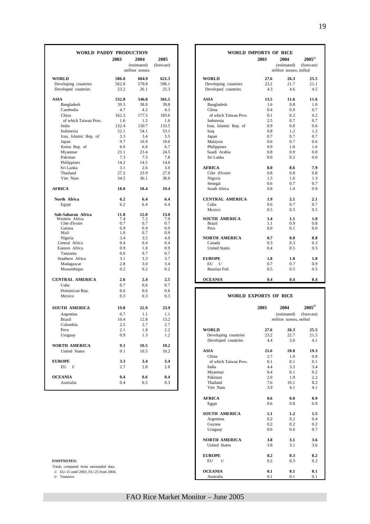| million tonnes<br><b>WORLD</b><br>586.0<br>604.9<br>621.3<br><b>WORLD</b><br>27.6<br>562.8<br>578.8<br>596.1<br>23.2<br>Developing countries<br>Developing countries<br>25.3<br>Developed countries<br>Developed countries<br>23.2<br>26.1<br>4.3<br><b>ASIA</b><br><b>ASIA</b><br>13.5<br>532.8<br>546.8<br>561.5<br>39.3<br>39.8<br>Bangladesh<br>38.0<br>Bangladesh<br>1.6<br>Cambodia<br>4.7<br>4.2<br>4.3<br>China<br>0.4<br>162.3<br>177.5<br>183.6<br>China<br>of which Taiwan Prov.<br>0.1<br>of which Taiwan Prov.<br>2.5<br>1.6<br>1.5<br>1.6<br>Indonesia<br>India<br>132.4<br>130.7<br>133.5<br>Iran, Islamic Rep. of<br>0.9<br>Indonesia<br>52.1<br>54.1<br>53.1<br>0.8<br>Iraq<br>Iran, Islamic Rep. of<br>3.3<br>3.4<br>3.5<br>Japan<br>0.7<br>9.7<br>Japan<br>10.9<br>10.6<br>Malaysia<br>0.6<br>6.0<br>6.7<br>0.9<br>Korea Rep. of<br>6.8<br>Philippines<br>Myanmar<br>23.1<br>23.4<br>24.5<br>Saudi Arabia<br>0.8<br>Pakistan<br>7.3<br>7.5<br>7.8<br>Sri Lanka<br>0.0<br>Philippines<br>14.2<br>14.5<br>14.6<br>3.1<br>2.6<br>3.0<br>8.0<br>Sri Lanka<br><b>AFRICA</b><br>Thailand<br>27.2<br>23.9<br>27.0<br>Côte d'Ivoire<br>0.8<br>Viet Nam<br>34.5<br>36.1<br>36.0<br>Nigeria<br>1.5<br>Senegal<br>0.6<br><b>AFRICA</b><br>19.4<br>South Africa<br>18.0<br>18.4<br>0.8<br>6.2<br>6.4<br>6.4<br><b>CENTRAL AMERICA</b><br>1.9<br>North Africa<br>6.2<br>6.4<br>6.4<br>Cuba<br>0.6<br>Egypt<br>Mexico<br>0.5<br>Sub-Saharan Africa<br>11.8<br>12.0<br>13.0<br>Western Africa<br>7.4<br>7.2<br>7.9<br><b>SOUTH AMERICA</b><br>1.4<br>Côte d'Ivoire<br>0.7<br>0.7<br>0.7<br><b>Brazil</b><br>1.1<br>0.9<br>0.9<br>0.9<br>Guinea<br>0.0<br>Peru<br>Mali<br>1.0<br>0.7<br>0.9<br>3.4<br>Nigeria<br>3.5<br>4.0<br><b>NORTH AMERICA</b><br>0.7<br>Central Africa<br>0.4<br>0.4<br>0.4<br>0.3<br>Canada<br>0.9<br>Eastern Africa<br>1.0<br>0.9<br><b>United States</b><br>0.4<br>0.6<br>Tanzania<br>0.7<br>0.7<br>3.1<br>Southern Africa<br>3.3<br>3.7<br><b>EUROPE</b><br>1.8<br>Madagascar<br>2.8<br>3.0<br>3.4<br>EU<br>1/<br>0.7<br>Russian Fed.<br>Mozambique<br>0.2<br>0.2<br>0.2<br>0.5<br><b>CENTRAL AMERICA</b><br>2.6<br>2.4<br>2.5<br><b>OCEANIA</b><br>0.4<br>0.7<br>0.6<br>0.7<br>Cuba<br>0.6<br>0.6<br>0.6<br>Dominican Rep.<br><b>WORLD EXPORTS OF RICE</b><br>0.3<br>Mexico<br>0.3<br>0.3<br>2003<br>2004<br>22.9<br>23.9<br><b>SOUTH AMERICA</b><br>19.8<br>0.7<br>1.1<br>1.1<br>Argentina<br><b>Brazil</b><br>10.4<br>12.8<br>13.2<br>Colombia<br>2.5<br>2.7<br>2.7<br><b>WORLD</b><br>27.6<br>2.1<br>2.2<br>Peru<br>1.8<br>0.9<br>Developing countries<br>23.2<br>Uruguay<br>1.3<br>1.2<br>Developed countries<br>4.4<br><b>NORTH AMERICA</b><br>9.1<br>10.5<br>10.2<br><b>ASIA</b><br>United States<br>9.1<br>10.5<br>10.2<br>21.6<br>2.7<br>China<br><b>EUROPE</b><br>3.3<br>3.4<br>3.4<br>of which Taiwan Prov.<br>0.1<br>$EU$ $1/$<br>2.7<br>2.8<br>4.4<br>2.8<br>India | <b>WORLD IMPORTS OF RICE</b><br>2004<br>(estimated)<br>million tonnes, milled | $2005^{2/}$<br>(forecast) |
|--------------------------------------------------------------------------------------------------------------------------------------------------------------------------------------------------------------------------------------------------------------------------------------------------------------------------------------------------------------------------------------------------------------------------------------------------------------------------------------------------------------------------------------------------------------------------------------------------------------------------------------------------------------------------------------------------------------------------------------------------------------------------------------------------------------------------------------------------------------------------------------------------------------------------------------------------------------------------------------------------------------------------------------------------------------------------------------------------------------------------------------------------------------------------------------------------------------------------------------------------------------------------------------------------------------------------------------------------------------------------------------------------------------------------------------------------------------------------------------------------------------------------------------------------------------------------------------------------------------------------------------------------------------------------------------------------------------------------------------------------------------------------------------------------------------------------------------------------------------------------------------------------------------------------------------------------------------------------------------------------------------------------------------------------------------------------------------------------------------------------------------------------------------------------------------------------------------------------------------------------------------------------------------------------------------------------------------------------------------------------------------------------------------------------------------------------------------------------------------------------------------------------------------------------------------------------------------------------------------------------------------------------------------------------------------------------------------------------------------------------------------------------------------------------------------------------------------------------------------------------------------------------------------|-------------------------------------------------------------------------------|---------------------------|
|                                                                                                                                                                                                                                                                                                                                                                                                                                                                                                                                                                                                                                                                                                                                                                                                                                                                                                                                                                                                                                                                                                                                                                                                                                                                                                                                                                                                                                                                                                                                                                                                                                                                                                                                                                                                                                                                                                                                                                                                                                                                                                                                                                                                                                                                                                                                                                                                                                                                                                                                                                                                                                                                                                                                                                                                                                                                                                              | 26.3                                                                          |                           |
|                                                                                                                                                                                                                                                                                                                                                                                                                                                                                                                                                                                                                                                                                                                                                                                                                                                                                                                                                                                                                                                                                                                                                                                                                                                                                                                                                                                                                                                                                                                                                                                                                                                                                                                                                                                                                                                                                                                                                                                                                                                                                                                                                                                                                                                                                                                                                                                                                                                                                                                                                                                                                                                                                                                                                                                                                                                                                                              | 21.7                                                                          |                           |
|                                                                                                                                                                                                                                                                                                                                                                                                                                                                                                                                                                                                                                                                                                                                                                                                                                                                                                                                                                                                                                                                                                                                                                                                                                                                                                                                                                                                                                                                                                                                                                                                                                                                                                                                                                                                                                                                                                                                                                                                                                                                                                                                                                                                                                                                                                                                                                                                                                                                                                                                                                                                                                                                                                                                                                                                                                                                                                              | 4.6                                                                           |                           |
|                                                                                                                                                                                                                                                                                                                                                                                                                                                                                                                                                                                                                                                                                                                                                                                                                                                                                                                                                                                                                                                                                                                                                                                                                                                                                                                                                                                                                                                                                                                                                                                                                                                                                                                                                                                                                                                                                                                                                                                                                                                                                                                                                                                                                                                                                                                                                                                                                                                                                                                                                                                                                                                                                                                                                                                                                                                                                                              | 11.6                                                                          |                           |
|                                                                                                                                                                                                                                                                                                                                                                                                                                                                                                                                                                                                                                                                                                                                                                                                                                                                                                                                                                                                                                                                                                                                                                                                                                                                                                                                                                                                                                                                                                                                                                                                                                                                                                                                                                                                                                                                                                                                                                                                                                                                                                                                                                                                                                                                                                                                                                                                                                                                                                                                                                                                                                                                                                                                                                                                                                                                                                              | 0.8                                                                           |                           |
|                                                                                                                                                                                                                                                                                                                                                                                                                                                                                                                                                                                                                                                                                                                                                                                                                                                                                                                                                                                                                                                                                                                                                                                                                                                                                                                                                                                                                                                                                                                                                                                                                                                                                                                                                                                                                                                                                                                                                                                                                                                                                                                                                                                                                                                                                                                                                                                                                                                                                                                                                                                                                                                                                                                                                                                                                                                                                                              | 0.9                                                                           |                           |
|                                                                                                                                                                                                                                                                                                                                                                                                                                                                                                                                                                                                                                                                                                                                                                                                                                                                                                                                                                                                                                                                                                                                                                                                                                                                                                                                                                                                                                                                                                                                                                                                                                                                                                                                                                                                                                                                                                                                                                                                                                                                                                                                                                                                                                                                                                                                                                                                                                                                                                                                                                                                                                                                                                                                                                                                                                                                                                              | 0.2                                                                           |                           |
|                                                                                                                                                                                                                                                                                                                                                                                                                                                                                                                                                                                                                                                                                                                                                                                                                                                                                                                                                                                                                                                                                                                                                                                                                                                                                                                                                                                                                                                                                                                                                                                                                                                                                                                                                                                                                                                                                                                                                                                                                                                                                                                                                                                                                                                                                                                                                                                                                                                                                                                                                                                                                                                                                                                                                                                                                                                                                                              | 0.7                                                                           |                           |
|                                                                                                                                                                                                                                                                                                                                                                                                                                                                                                                                                                                                                                                                                                                                                                                                                                                                                                                                                                                                                                                                                                                                                                                                                                                                                                                                                                                                                                                                                                                                                                                                                                                                                                                                                                                                                                                                                                                                                                                                                                                                                                                                                                                                                                                                                                                                                                                                                                                                                                                                                                                                                                                                                                                                                                                                                                                                                                              | 0.8                                                                           |                           |
|                                                                                                                                                                                                                                                                                                                                                                                                                                                                                                                                                                                                                                                                                                                                                                                                                                                                                                                                                                                                                                                                                                                                                                                                                                                                                                                                                                                                                                                                                                                                                                                                                                                                                                                                                                                                                                                                                                                                                                                                                                                                                                                                                                                                                                                                                                                                                                                                                                                                                                                                                                                                                                                                                                                                                                                                                                                                                                              | 1.2                                                                           |                           |
|                                                                                                                                                                                                                                                                                                                                                                                                                                                                                                                                                                                                                                                                                                                                                                                                                                                                                                                                                                                                                                                                                                                                                                                                                                                                                                                                                                                                                                                                                                                                                                                                                                                                                                                                                                                                                                                                                                                                                                                                                                                                                                                                                                                                                                                                                                                                                                                                                                                                                                                                                                                                                                                                                                                                                                                                                                                                                                              | 0.7                                                                           |                           |
|                                                                                                                                                                                                                                                                                                                                                                                                                                                                                                                                                                                                                                                                                                                                                                                                                                                                                                                                                                                                                                                                                                                                                                                                                                                                                                                                                                                                                                                                                                                                                                                                                                                                                                                                                                                                                                                                                                                                                                                                                                                                                                                                                                                                                                                                                                                                                                                                                                                                                                                                                                                                                                                                                                                                                                                                                                                                                                              | 0.7                                                                           |                           |
|                                                                                                                                                                                                                                                                                                                                                                                                                                                                                                                                                                                                                                                                                                                                                                                                                                                                                                                                                                                                                                                                                                                                                                                                                                                                                                                                                                                                                                                                                                                                                                                                                                                                                                                                                                                                                                                                                                                                                                                                                                                                                                                                                                                                                                                                                                                                                                                                                                                                                                                                                                                                                                                                                                                                                                                                                                                                                                              | 1.0                                                                           |                           |
|                                                                                                                                                                                                                                                                                                                                                                                                                                                                                                                                                                                                                                                                                                                                                                                                                                                                                                                                                                                                                                                                                                                                                                                                                                                                                                                                                                                                                                                                                                                                                                                                                                                                                                                                                                                                                                                                                                                                                                                                                                                                                                                                                                                                                                                                                                                                                                                                                                                                                                                                                                                                                                                                                                                                                                                                                                                                                                              | 0.9                                                                           |                           |
|                                                                                                                                                                                                                                                                                                                                                                                                                                                                                                                                                                                                                                                                                                                                                                                                                                                                                                                                                                                                                                                                                                                                                                                                                                                                                                                                                                                                                                                                                                                                                                                                                                                                                                                                                                                                                                                                                                                                                                                                                                                                                                                                                                                                                                                                                                                                                                                                                                                                                                                                                                                                                                                                                                                                                                                                                                                                                                              | 0.2                                                                           |                           |
|                                                                                                                                                                                                                                                                                                                                                                                                                                                                                                                                                                                                                                                                                                                                                                                                                                                                                                                                                                                                                                                                                                                                                                                                                                                                                                                                                                                                                                                                                                                                                                                                                                                                                                                                                                                                                                                                                                                                                                                                                                                                                                                                                                                                                                                                                                                                                                                                                                                                                                                                                                                                                                                                                                                                                                                                                                                                                                              |                                                                               |                           |
|                                                                                                                                                                                                                                                                                                                                                                                                                                                                                                                                                                                                                                                                                                                                                                                                                                                                                                                                                                                                                                                                                                                                                                                                                                                                                                                                                                                                                                                                                                                                                                                                                                                                                                                                                                                                                                                                                                                                                                                                                                                                                                                                                                                                                                                                                                                                                                                                                                                                                                                                                                                                                                                                                                                                                                                                                                                                                                              | 8.6                                                                           |                           |
|                                                                                                                                                                                                                                                                                                                                                                                                                                                                                                                                                                                                                                                                                                                                                                                                                                                                                                                                                                                                                                                                                                                                                                                                                                                                                                                                                                                                                                                                                                                                                                                                                                                                                                                                                                                                                                                                                                                                                                                                                                                                                                                                                                                                                                                                                                                                                                                                                                                                                                                                                                                                                                                                                                                                                                                                                                                                                                              | 0.8                                                                           |                           |
|                                                                                                                                                                                                                                                                                                                                                                                                                                                                                                                                                                                                                                                                                                                                                                                                                                                                                                                                                                                                                                                                                                                                                                                                                                                                                                                                                                                                                                                                                                                                                                                                                                                                                                                                                                                                                                                                                                                                                                                                                                                                                                                                                                                                                                                                                                                                                                                                                                                                                                                                                                                                                                                                                                                                                                                                                                                                                                              | 1.6                                                                           |                           |
|                                                                                                                                                                                                                                                                                                                                                                                                                                                                                                                                                                                                                                                                                                                                                                                                                                                                                                                                                                                                                                                                                                                                                                                                                                                                                                                                                                                                                                                                                                                                                                                                                                                                                                                                                                                                                                                                                                                                                                                                                                                                                                                                                                                                                                                                                                                                                                                                                                                                                                                                                                                                                                                                                                                                                                                                                                                                                                              | 0.7                                                                           |                           |
|                                                                                                                                                                                                                                                                                                                                                                                                                                                                                                                                                                                                                                                                                                                                                                                                                                                                                                                                                                                                                                                                                                                                                                                                                                                                                                                                                                                                                                                                                                                                                                                                                                                                                                                                                                                                                                                                                                                                                                                                                                                                                                                                                                                                                                                                                                                                                                                                                                                                                                                                                                                                                                                                                                                                                                                                                                                                                                              | 1.0                                                                           |                           |
|                                                                                                                                                                                                                                                                                                                                                                                                                                                                                                                                                                                                                                                                                                                                                                                                                                                                                                                                                                                                                                                                                                                                                                                                                                                                                                                                                                                                                                                                                                                                                                                                                                                                                                                                                                                                                                                                                                                                                                                                                                                                                                                                                                                                                                                                                                                                                                                                                                                                                                                                                                                                                                                                                                                                                                                                                                                                                                              | 2.1                                                                           |                           |
|                                                                                                                                                                                                                                                                                                                                                                                                                                                                                                                                                                                                                                                                                                                                                                                                                                                                                                                                                                                                                                                                                                                                                                                                                                                                                                                                                                                                                                                                                                                                                                                                                                                                                                                                                                                                                                                                                                                                                                                                                                                                                                                                                                                                                                                                                                                                                                                                                                                                                                                                                                                                                                                                                                                                                                                                                                                                                                              | 0.7                                                                           |                           |
|                                                                                                                                                                                                                                                                                                                                                                                                                                                                                                                                                                                                                                                                                                                                                                                                                                                                                                                                                                                                                                                                                                                                                                                                                                                                                                                                                                                                                                                                                                                                                                                                                                                                                                                                                                                                                                                                                                                                                                                                                                                                                                                                                                                                                                                                                                                                                                                                                                                                                                                                                                                                                                                                                                                                                                                                                                                                                                              | 0.5                                                                           |                           |
|                                                                                                                                                                                                                                                                                                                                                                                                                                                                                                                                                                                                                                                                                                                                                                                                                                                                                                                                                                                                                                                                                                                                                                                                                                                                                                                                                                                                                                                                                                                                                                                                                                                                                                                                                                                                                                                                                                                                                                                                                                                                                                                                                                                                                                                                                                                                                                                                                                                                                                                                                                                                                                                                                                                                                                                                                                                                                                              |                                                                               |                           |
|                                                                                                                                                                                                                                                                                                                                                                                                                                                                                                                                                                                                                                                                                                                                                                                                                                                                                                                                                                                                                                                                                                                                                                                                                                                                                                                                                                                                                                                                                                                                                                                                                                                                                                                                                                                                                                                                                                                                                                                                                                                                                                                                                                                                                                                                                                                                                                                                                                                                                                                                                                                                                                                                                                                                                                                                                                                                                                              | 1.1                                                                           |                           |
|                                                                                                                                                                                                                                                                                                                                                                                                                                                                                                                                                                                                                                                                                                                                                                                                                                                                                                                                                                                                                                                                                                                                                                                                                                                                                                                                                                                                                                                                                                                                                                                                                                                                                                                                                                                                                                                                                                                                                                                                                                                                                                                                                                                                                                                                                                                                                                                                                                                                                                                                                                                                                                                                                                                                                                                                                                                                                                              | 0.9                                                                           |                           |
|                                                                                                                                                                                                                                                                                                                                                                                                                                                                                                                                                                                                                                                                                                                                                                                                                                                                                                                                                                                                                                                                                                                                                                                                                                                                                                                                                                                                                                                                                                                                                                                                                                                                                                                                                                                                                                                                                                                                                                                                                                                                                                                                                                                                                                                                                                                                                                                                                                                                                                                                                                                                                                                                                                                                                                                                                                                                                                              | 0.1                                                                           |                           |
|                                                                                                                                                                                                                                                                                                                                                                                                                                                                                                                                                                                                                                                                                                                                                                                                                                                                                                                                                                                                                                                                                                                                                                                                                                                                                                                                                                                                                                                                                                                                                                                                                                                                                                                                                                                                                                                                                                                                                                                                                                                                                                                                                                                                                                                                                                                                                                                                                                                                                                                                                                                                                                                                                                                                                                                                                                                                                                              | 0.8                                                                           |                           |
|                                                                                                                                                                                                                                                                                                                                                                                                                                                                                                                                                                                                                                                                                                                                                                                                                                                                                                                                                                                                                                                                                                                                                                                                                                                                                                                                                                                                                                                                                                                                                                                                                                                                                                                                                                                                                                                                                                                                                                                                                                                                                                                                                                                                                                                                                                                                                                                                                                                                                                                                                                                                                                                                                                                                                                                                                                                                                                              | 0.3                                                                           |                           |
|                                                                                                                                                                                                                                                                                                                                                                                                                                                                                                                                                                                                                                                                                                                                                                                                                                                                                                                                                                                                                                                                                                                                                                                                                                                                                                                                                                                                                                                                                                                                                                                                                                                                                                                                                                                                                                                                                                                                                                                                                                                                                                                                                                                                                                                                                                                                                                                                                                                                                                                                                                                                                                                                                                                                                                                                                                                                                                              | 0.5                                                                           |                           |
|                                                                                                                                                                                                                                                                                                                                                                                                                                                                                                                                                                                                                                                                                                                                                                                                                                                                                                                                                                                                                                                                                                                                                                                                                                                                                                                                                                                                                                                                                                                                                                                                                                                                                                                                                                                                                                                                                                                                                                                                                                                                                                                                                                                                                                                                                                                                                                                                                                                                                                                                                                                                                                                                                                                                                                                                                                                                                                              |                                                                               |                           |
|                                                                                                                                                                                                                                                                                                                                                                                                                                                                                                                                                                                                                                                                                                                                                                                                                                                                                                                                                                                                                                                                                                                                                                                                                                                                                                                                                                                                                                                                                                                                                                                                                                                                                                                                                                                                                                                                                                                                                                                                                                                                                                                                                                                                                                                                                                                                                                                                                                                                                                                                                                                                                                                                                                                                                                                                                                                                                                              | 1.8                                                                           |                           |
|                                                                                                                                                                                                                                                                                                                                                                                                                                                                                                                                                                                                                                                                                                                                                                                                                                                                                                                                                                                                                                                                                                                                                                                                                                                                                                                                                                                                                                                                                                                                                                                                                                                                                                                                                                                                                                                                                                                                                                                                                                                                                                                                                                                                                                                                                                                                                                                                                                                                                                                                                                                                                                                                                                                                                                                                                                                                                                              | 0.7                                                                           |                           |
|                                                                                                                                                                                                                                                                                                                                                                                                                                                                                                                                                                                                                                                                                                                                                                                                                                                                                                                                                                                                                                                                                                                                                                                                                                                                                                                                                                                                                                                                                                                                                                                                                                                                                                                                                                                                                                                                                                                                                                                                                                                                                                                                                                                                                                                                                                                                                                                                                                                                                                                                                                                                                                                                                                                                                                                                                                                                                                              | 0.5                                                                           |                           |
|                                                                                                                                                                                                                                                                                                                                                                                                                                                                                                                                                                                                                                                                                                                                                                                                                                                                                                                                                                                                                                                                                                                                                                                                                                                                                                                                                                                                                                                                                                                                                                                                                                                                                                                                                                                                                                                                                                                                                                                                                                                                                                                                                                                                                                                                                                                                                                                                                                                                                                                                                                                                                                                                                                                                                                                                                                                                                                              | 0.4                                                                           |                           |
|                                                                                                                                                                                                                                                                                                                                                                                                                                                                                                                                                                                                                                                                                                                                                                                                                                                                                                                                                                                                                                                                                                                                                                                                                                                                                                                                                                                                                                                                                                                                                                                                                                                                                                                                                                                                                                                                                                                                                                                                                                                                                                                                                                                                                                                                                                                                                                                                                                                                                                                                                                                                                                                                                                                                                                                                                                                                                                              |                                                                               |                           |
|                                                                                                                                                                                                                                                                                                                                                                                                                                                                                                                                                                                                                                                                                                                                                                                                                                                                                                                                                                                                                                                                                                                                                                                                                                                                                                                                                                                                                                                                                                                                                                                                                                                                                                                                                                                                                                                                                                                                                                                                                                                                                                                                                                                                                                                                                                                                                                                                                                                                                                                                                                                                                                                                                                                                                                                                                                                                                                              |                                                                               |                           |
|                                                                                                                                                                                                                                                                                                                                                                                                                                                                                                                                                                                                                                                                                                                                                                                                                                                                                                                                                                                                                                                                                                                                                                                                                                                                                                                                                                                                                                                                                                                                                                                                                                                                                                                                                                                                                                                                                                                                                                                                                                                                                                                                                                                                                                                                                                                                                                                                                                                                                                                                                                                                                                                                                                                                                                                                                                                                                                              |                                                                               |                           |
|                                                                                                                                                                                                                                                                                                                                                                                                                                                                                                                                                                                                                                                                                                                                                                                                                                                                                                                                                                                                                                                                                                                                                                                                                                                                                                                                                                                                                                                                                                                                                                                                                                                                                                                                                                                                                                                                                                                                                                                                                                                                                                                                                                                                                                                                                                                                                                                                                                                                                                                                                                                                                                                                                                                                                                                                                                                                                                              |                                                                               |                           |
|                                                                                                                                                                                                                                                                                                                                                                                                                                                                                                                                                                                                                                                                                                                                                                                                                                                                                                                                                                                                                                                                                                                                                                                                                                                                                                                                                                                                                                                                                                                                                                                                                                                                                                                                                                                                                                                                                                                                                                                                                                                                                                                                                                                                                                                                                                                                                                                                                                                                                                                                                                                                                                                                                                                                                                                                                                                                                                              |                                                                               | $2005^{2/}$               |
|                                                                                                                                                                                                                                                                                                                                                                                                                                                                                                                                                                                                                                                                                                                                                                                                                                                                                                                                                                                                                                                                                                                                                                                                                                                                                                                                                                                                                                                                                                                                                                                                                                                                                                                                                                                                                                                                                                                                                                                                                                                                                                                                                                                                                                                                                                                                                                                                                                                                                                                                                                                                                                                                                                                                                                                                                                                                                                              | (estimated)                                                                   | (forecast)                |
|                                                                                                                                                                                                                                                                                                                                                                                                                                                                                                                                                                                                                                                                                                                                                                                                                                                                                                                                                                                                                                                                                                                                                                                                                                                                                                                                                                                                                                                                                                                                                                                                                                                                                                                                                                                                                                                                                                                                                                                                                                                                                                                                                                                                                                                                                                                                                                                                                                                                                                                                                                                                                                                                                                                                                                                                                                                                                                              | million tonnes, milled                                                        |                           |
|                                                                                                                                                                                                                                                                                                                                                                                                                                                                                                                                                                                                                                                                                                                                                                                                                                                                                                                                                                                                                                                                                                                                                                                                                                                                                                                                                                                                                                                                                                                                                                                                                                                                                                                                                                                                                                                                                                                                                                                                                                                                                                                                                                                                                                                                                                                                                                                                                                                                                                                                                                                                                                                                                                                                                                                                                                                                                                              |                                                                               |                           |
|                                                                                                                                                                                                                                                                                                                                                                                                                                                                                                                                                                                                                                                                                                                                                                                                                                                                                                                                                                                                                                                                                                                                                                                                                                                                                                                                                                                                                                                                                                                                                                                                                                                                                                                                                                                                                                                                                                                                                                                                                                                                                                                                                                                                                                                                                                                                                                                                                                                                                                                                                                                                                                                                                                                                                                                                                                                                                                              | 26.3                                                                          |                           |
|                                                                                                                                                                                                                                                                                                                                                                                                                                                                                                                                                                                                                                                                                                                                                                                                                                                                                                                                                                                                                                                                                                                                                                                                                                                                                                                                                                                                                                                                                                                                                                                                                                                                                                                                                                                                                                                                                                                                                                                                                                                                                                                                                                                                                                                                                                                                                                                                                                                                                                                                                                                                                                                                                                                                                                                                                                                                                                              | 22.7                                                                          |                           |
|                                                                                                                                                                                                                                                                                                                                                                                                                                                                                                                                                                                                                                                                                                                                                                                                                                                                                                                                                                                                                                                                                                                                                                                                                                                                                                                                                                                                                                                                                                                                                                                                                                                                                                                                                                                                                                                                                                                                                                                                                                                                                                                                                                                                                                                                                                                                                                                                                                                                                                                                                                                                                                                                                                                                                                                                                                                                                                              | 3.6                                                                           |                           |
|                                                                                                                                                                                                                                                                                                                                                                                                                                                                                                                                                                                                                                                                                                                                                                                                                                                                                                                                                                                                                                                                                                                                                                                                                                                                                                                                                                                                                                                                                                                                                                                                                                                                                                                                                                                                                                                                                                                                                                                                                                                                                                                                                                                                                                                                                                                                                                                                                                                                                                                                                                                                                                                                                                                                                                                                                                                                                                              | 20.8                                                                          |                           |
|                                                                                                                                                                                                                                                                                                                                                                                                                                                                                                                                                                                                                                                                                                                                                                                                                                                                                                                                                                                                                                                                                                                                                                                                                                                                                                                                                                                                                                                                                                                                                                                                                                                                                                                                                                                                                                                                                                                                                                                                                                                                                                                                                                                                                                                                                                                                                                                                                                                                                                                                                                                                                                                                                                                                                                                                                                                                                                              | 1.0                                                                           |                           |
|                                                                                                                                                                                                                                                                                                                                                                                                                                                                                                                                                                                                                                                                                                                                                                                                                                                                                                                                                                                                                                                                                                                                                                                                                                                                                                                                                                                                                                                                                                                                                                                                                                                                                                                                                                                                                                                                                                                                                                                                                                                                                                                                                                                                                                                                                                                                                                                                                                                                                                                                                                                                                                                                                                                                                                                                                                                                                                              | 0.1                                                                           |                           |
|                                                                                                                                                                                                                                                                                                                                                                                                                                                                                                                                                                                                                                                                                                                                                                                                                                                                                                                                                                                                                                                                                                                                                                                                                                                                                                                                                                                                                                                                                                                                                                                                                                                                                                                                                                                                                                                                                                                                                                                                                                                                                                                                                                                                                                                                                                                                                                                                                                                                                                                                                                                                                                                                                                                                                                                                                                                                                                              | 3.2                                                                           |                           |
| Myanmar<br>0.4                                                                                                                                                                                                                                                                                                                                                                                                                                                                                                                                                                                                                                                                                                                                                                                                                                                                                                                                                                                                                                                                                                                                                                                                                                                                                                                                                                                                                                                                                                                                                                                                                                                                                                                                                                                                                                                                                                                                                                                                                                                                                                                                                                                                                                                                                                                                                                                                                                                                                                                                                                                                                                                                                                                                                                                                                                                                                               | 0.1                                                                           |                           |
| <b>OCEANIA</b><br>0.4<br>$0.6\,$<br>0.4<br>Pakistan<br>2.0                                                                                                                                                                                                                                                                                                                                                                                                                                                                                                                                                                                                                                                                                                                                                                                                                                                                                                                                                                                                                                                                                                                                                                                                                                                                                                                                                                                                                                                                                                                                                                                                                                                                                                                                                                                                                                                                                                                                                                                                                                                                                                                                                                                                                                                                                                                                                                                                                                                                                                                                                                                                                                                                                                                                                                                                                                                   | 1.9                                                                           |                           |
| 0.4<br>0.3<br>Thailand<br>Australia<br>$0.5\,$<br>7.6                                                                                                                                                                                                                                                                                                                                                                                                                                                                                                                                                                                                                                                                                                                                                                                                                                                                                                                                                                                                                                                                                                                                                                                                                                                                                                                                                                                                                                                                                                                                                                                                                                                                                                                                                                                                                                                                                                                                                                                                                                                                                                                                                                                                                                                                                                                                                                                                                                                                                                                                                                                                                                                                                                                                                                                                                                                        | 10.1                                                                          |                           |
| 3.9<br>Viet Nam                                                                                                                                                                                                                                                                                                                                                                                                                                                                                                                                                                                                                                                                                                                                                                                                                                                                                                                                                                                                                                                                                                                                                                                                                                                                                                                                                                                                                                                                                                                                                                                                                                                                                                                                                                                                                                                                                                                                                                                                                                                                                                                                                                                                                                                                                                                                                                                                                                                                                                                                                                                                                                                                                                                                                                                                                                                                                              | 4.1                                                                           |                           |

| DY PRODUCTION<br><b>WORLD IMPORTS OF RICE</b> |                |            |  |                                       |            |                        |               |  |
|-----------------------------------------------|----------------|------------|--|---------------------------------------|------------|------------------------|---------------|--|
| 2003                                          | 2004           | 2005       |  |                                       | 2003       | 2004                   | $2005^{2/}$   |  |
|                                               | (estimated)    | (forecast) |  |                                       |            | (estimated)            | (forecast)    |  |
|                                               | million tonnes |            |  |                                       |            | million tonnes, milled |               |  |
| 586.0                                         | 604.9          | 621.3      |  | <b>WORLD</b>                          | 27.6       | 26.3                   | 25.5          |  |
| 562.8                                         | 578.8          | 596.1      |  | Developing countries                  | 23.2       | 21.7                   | 21.1          |  |
| 23.2                                          | 26.1           | 25.3       |  | Developed countries                   | 4.3        | 4.6                    | 4.5           |  |
| 532.8                                         | 546.8          | 561.5      |  | <b>ASIA</b>                           | 13.5       | 11.6                   | 11.6          |  |
| 39.3                                          | 38.0           | 39.8       |  | Bangladesh                            | 1.6        | 0.8                    | 1.0           |  |
| 4.7                                           | 4.2            | 4.3        |  | China                                 | 0.4        | 0.9                    | 0.7           |  |
| 162.3                                         | 177.5          | 183.6      |  | of which Taiwan Prov.                 | 0.1        | 0.2                    | 0.2           |  |
| 1.6                                           | 1.5            | 1.6        |  | Indonesia                             | 2.5        | 0.7                    | 0.7           |  |
| 132.4                                         | 130.7          | 133.5      |  | Iran, Islamic Rep. of                 | 0.9        | 0.8                    | 0.6           |  |
| 52.1                                          | 54.1           | 53.1       |  | Iraq                                  | 0.8        | 1.2                    | 1.2           |  |
| 3.3                                           | 3.4            | 3.5        |  | Japan                                 | 0.7        | 0.7                    | 0.7           |  |
| 9.7                                           | 10.9           | 10.6       |  | Malaysia                              | 0.6        | 0.7                    | 0.6           |  |
| 6.0                                           | 6.8            | 6.7        |  | Philippines                           | 0.9        | 1.0                    | 1.6           |  |
| 23.1                                          | 23.4           | 24.5       |  | Saudi Arabia                          | 0.8        | 0.9                    | 0.8           |  |
| 7.3                                           | 7.5            | 7.8        |  | Sri Lanka                             | 0.0        | 0.2                    | 0.0           |  |
| 14.2                                          | 14.5           | 14.6       |  |                                       |            |                        |               |  |
| 3.1                                           | 2.6            | 3.0        |  | <b>AFRICA</b>                         | 8.0        | 8.6                    | 7.9           |  |
| 27.2                                          | 23.9           | 27.0       |  | Côte d'Ivoire                         | 0.8        | 0.8                    | 0.8           |  |
| 34.5                                          | 36.1           | 36.0       |  | Nigeria                               | 1.5        | 1.6                    | 1.3           |  |
|                                               |                |            |  | Senegal                               | 0.6        | 0.7                    | 0.7           |  |
| 18.0                                          | 18.4           | 19.4       |  | South Africa                          | 0.8        | 1.0                    | 0.9           |  |
|                                               |                |            |  |                                       |            |                        |               |  |
| 6.2                                           | 6.4            | 6.4        |  | <b>CENTRAL AMERICA</b>                | 1.9        | 2.1                    | 2.1           |  |
| 6.2                                           | 6.4            | 6.4        |  | Cuba                                  | 0.6        | 0.7                    | 0.7           |  |
|                                               |                |            |  | Mexico                                | 0.5        | 0.5                    | 0.5           |  |
| 11.8                                          | 12.0           | 13.0       |  |                                       |            |                        |               |  |
| 7.4<br>0.7                                    | 7.2<br>0.7     | 7.9<br>0.7 |  | <b>SOUTH AMERICA</b><br><b>Brazil</b> | 1.4<br>1.1 | 1.1<br>0.9             | 1.0<br>0.8    |  |
| 0.9                                           | 0.9            | 0.9        |  | Peru                                  | 0.0        | 0.1                    | 0.0           |  |
| 1.0                                           | 0.7            | 0.9        |  |                                       |            |                        |               |  |
| 3.4                                           | 3.5            | 4.0        |  | <b>NORTH AMERICA</b>                  | 0.7        | 0.8                    | 0.8           |  |
| 0.4                                           | 0.4            | 0.4        |  | Canada                                | 0.3        | 0.3                    | 0.3           |  |
| 0.9                                           | 1.0            | 0.9        |  | <b>United States</b>                  | 0.4        | 0.5                    | 0.5           |  |
| 0.6                                           | 0.7            | 0.7        |  |                                       |            |                        |               |  |
| 3.1                                           | 3.3            | 3.7        |  | <b>EUROPE</b>                         | 1.8        | 1.8                    | 1.8           |  |
| 2.8                                           | 3.0            | 3.4        |  | $EU$ $1/$                             | 0.7        | 0.7                    | 0.9           |  |
| 0.2                                           | 0.2            | 0.2        |  | Russian Fed.                          | 0.5        | 0.5                    | $0.5^{\circ}$ |  |
| 2.6                                           | 2.4            | 2.5        |  | <b>OCEANIA</b>                        | 0.4        | 0.4                    | 0.4           |  |
|                                               |                |            |  |                                       |            |                        |               |  |

#### **WORLD EXPORTS OF RICE**

| SOUTH AMERICA                         | 19.8 | 22.9 | 23.9 |                       | 2003 | 2004                   | $2005^{2/}$ |
|---------------------------------------|------|------|------|-----------------------|------|------------------------|-------------|
| Argentina                             | 0.7  | 1.1  | 1.1  |                       |      | (estimated)            | (forecast)  |
| Brazil                                | 10.4 | 12.8 | 13.2 |                       |      | million tonnes, milled |             |
| Colombia                              | 2.5  | 2.7  | 2.7  |                       |      |                        |             |
| Peru                                  | 2.1  | 1.8  | 2.2  | <b>WORLD</b>          | 27.6 | 26.3                   | 25.5        |
| Uruguay                               | 0.9  | 1.3  | 1.2  | Developing countries  | 23.2 | 22.7                   | 21.5        |
|                                       |      |      |      | Developed countries   | 4.4  | 3.6                    | 4.1         |
| NORTH AMERICA                         | 9.1  | 10.5 | 10.2 |                       |      |                        |             |
| <b>United States</b>                  | 9.1  | 10.5 | 10.2 | <b>ASIA</b>           | 21.6 | 20.8                   | 19.3        |
|                                       |      |      |      | China                 | 2.7  | 1.0                    | 0.8         |
| <b>EUROPE</b>                         | 3.3  | 3.4  | 3.4  | of which Taiwan Prov. | 0.1  | 0.1                    | 0.1         |
| $EU$ $1/$                             | 2.7  | 2.8  | 2.8  | India                 | 4.4  | 3.2                    | 3.4         |
|                                       |      |      |      | Myanmar               | 0.4  | 0.1                    | 0.2         |
| <b>OCEANIA</b>                        | 0.4  | 0.6  | 0.4  | Pakistan              | 2.0  | 1.9                    | 2.2         |
| Australia                             | 0.4  | 0.5  | 0.3  | Thailand              | 7.6  | 10.1                   | 8.2         |
|                                       |      |      |      | Viet Nam              | 3.9  | 4.1                    | 4.1         |
|                                       |      |      |      | <b>AFRICA</b>         | 0.6  | 0.8                    | 0.9         |
|                                       |      |      |      | Egypt                 | 0.6  | 0.8                    | 0.9         |
|                                       |      |      |      | <b>SOUTH AMERICA</b>  | 1.1  | 1.2                    | 1.5         |
|                                       |      |      |      | Argentina             | 0.2  | 0.2                    | 0.4         |
|                                       |      |      |      | Guyana                | 0.2  | 0.2                    | 0.2         |
|                                       |      |      |      | Uruguay               | 0.6  | 0.6                    | 0.7         |
|                                       |      |      |      | <b>NORTH AMERICA</b>  | 3.8  | 3.1                    | 3.6         |
|                                       |      |      |      | <b>United States</b>  | 3.8  | 3.1                    | 3.6         |
|                                       |      |      |      | <b>EUROPE</b>         | 0.2  | 0.3                    | 0.2         |
| <b>FOOTNOTES:</b>                     |      |      |      | EU<br>1/              | 0.2  | 0.3                    | 0.2         |
| Totals computed from unrounded data.  |      |      |      |                       |      |                        |             |
| 1/ EU-15 until 2003, EU-25 from 2004. |      |      |      | <b>OCEANIA</b>        | 0.1  | 0.1                    | 0.1         |
| 2/ Tentative.                         |      |      |      | Australia             | 0.1  | 0.1                    | 0.1         |

 $\overline{\mathbf{1}}$ 

#### FAO Rice Market Monitor – June 2005